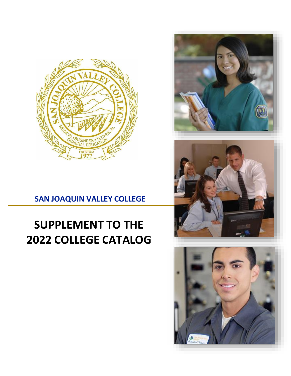

## **SAN JOAQUIN VALLEY COLLEGE**

# **SUPPLEMENT TO THE 2022 COLLEGE CATALOG**





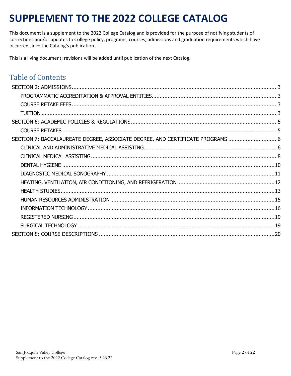## **SUPPLEMENT TO THE 2022 COLLEGE CATALOG**

This document is a supplement to the 2022 College Catalog and is provided for the purpose of notifying students of corrections and/or updates to College policy, programs, courses, admissions and graduation requirements which have occurred since the Catalog's publication.

This is a living document; revisions will be added until publication of the next Catalog.

### Table of Contents

| SECTION 7: BACCALAUREATE DEGREE, ASSOCIATE DEGREE, AND CERTIFICATE PROGRAMS  6 |  |
|--------------------------------------------------------------------------------|--|
|                                                                                |  |
|                                                                                |  |
|                                                                                |  |
|                                                                                |  |
|                                                                                |  |
|                                                                                |  |
|                                                                                |  |
|                                                                                |  |
|                                                                                |  |
|                                                                                |  |
|                                                                                |  |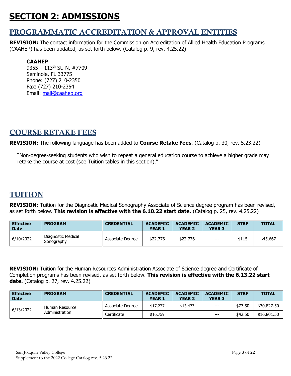## <span id="page-2-0"></span>**SECTION 2: ADMISSIONS**

### <span id="page-2-1"></span>PROGRAMMATIC ACCREDITATION & APPROVAL ENTITIES

**REVISION:** The contact information for the Commission on Accreditation of Allied Health Education Programs (CAAHEP) has been updated, as set forth below. (Catalog p. 9, rev. 4.25.22)

### **CAAHEP**

9355 – 113th St. N, #7709 Seminole, FL 33775 Phone: (727) 210-2350 Fax: (727) 210-2354 Email: [mail@caahep.org](mailto:mail@caahep.org)

### <span id="page-2-2"></span>COURSE RETAKE FEES

**REVISION:** The following language has been added to **Course Retake Fees**. (Catalog p. 30, rev. 5.23.22)

"Non-degree-seeking students who wish to repeat a general education course to achieve a higher grade may retake the course at cost (see Tuition tables in this section)."

### <span id="page-2-3"></span>TUITION

**REVISION:** Tuition for the Diagnostic Medical Sonography Associate of Science degree program has been revised, as set forth below. **This revision is effective with the 6.10.22 start date.** (Catalog p. 25, rev. 4.25.22)

| <b>Effective</b><br><b>Date</b> | <b>PROGRAM</b>                   | <b>CREDENTIAL</b> | <b>ACADEMIC</b><br><b>YEAR 1</b> | <b>ACADEMIC</b><br><b>YEAR 2</b> | <b>ACADEMIC</b><br><b>YEAR 3</b> | <b>STRF</b> | <b>TOTAL</b> |
|---------------------------------|----------------------------------|-------------------|----------------------------------|----------------------------------|----------------------------------|-------------|--------------|
| 6/10/2022                       | Diagnostic Medical<br>Sonography | Associate Degree  | \$22,776                         | \$22,776                         | $---$                            | \$115       | \$45,667     |

**REVISION:** Tuition for the Human Resources Administration Associate of Science degree and Certificate of Completion programs has been revised, as set forth below. **This revision is effective with the 6.13.22 start date.** (Catalog p. 27, rev. 4.25.22)

| Effective<br><b>Date</b> | <b>PROGRAM</b> | <b>CREDENTIAL</b> | <b>ACADEMIC</b><br><b>YEAR 1</b> | <b>ACADEMIC</b><br><b>YEAR 2</b> | <b>ACADEMIC</b><br><b>YEAR 3</b> | <b>STRF</b> | <b>TOTAL</b> |
|--------------------------|----------------|-------------------|----------------------------------|----------------------------------|----------------------------------|-------------|--------------|
| 6/13/2022                | Human Resource | Associate Degree  | \$17,277                         | \$13,473                         | $---$                            | \$77.50     | \$30,827,50  |
|                          | Administration | Certificate       | \$16,759                         |                                  | $---$                            | \$42.50     | \$16,801.50  |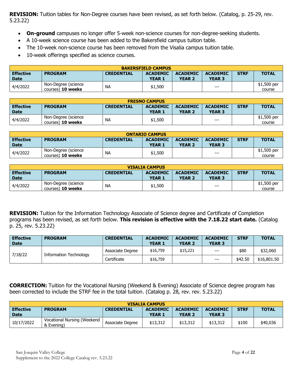**REVISION:** Tuition tables for Non-Degree courses have been revised, as set forth below. (Catalog, p. 25-29, rev. 5.23.22)

- **On-ground** campuses no longer offer 5-week non-science courses for non-degree-seeking students.
- A 10-week science course has been added to the Bakersfield campus tuition table.
- The 10-week non-science course has been removed from the Visalia campus tuition table.
- 10-week offerings specified as science courses.

| <b>BAKERSFIELD CAMPUS</b> |                                          |                   |                                  |                                  |                                  |             |                       |
|---------------------------|------------------------------------------|-------------------|----------------------------------|----------------------------------|----------------------------------|-------------|-----------------------|
| Effective<br>Date         | <b>PROGRAM</b>                           | <b>CREDENTIAL</b> | <b>ACADEMIC</b><br><b>YEAR 1</b> | <b>ACADEMIC</b><br><b>YEAR 2</b> | <b>ACADEMIC</b><br><b>YEAR 3</b> | <b>STRF</b> | <b>TOTAL</b>          |
| 4/4/2022                  | Non-Degree (science<br>courses) 10 weeks | <b>NA</b>         | \$1,500                          |                                  | $---$                            |             | \$1,500 per<br>course |

| <b>FRESNO CAMPUS</b>                                                                                                            |                          |           |               |               |               |  |             |  |
|---------------------------------------------------------------------------------------------------------------------------------|--------------------------|-----------|---------------|---------------|---------------|--|-------------|--|
| <b>STRF</b><br><b>Effective</b><br><b>PROGRAM</b><br><b>ACADEMIC</b><br><b>ACADEMIC</b><br><b>ACADEMIC</b><br><b>CREDENTIAL</b> |                          |           |               |               |               |  |             |  |
| <b>Date</b>                                                                                                                     |                          |           | <b>YEAR 1</b> | <b>YEAR 2</b> | <b>YEAR 3</b> |  |             |  |
|                                                                                                                                 | Non-Degree (science      | <b>NA</b> |               |               |               |  | \$1,500 per |  |
| 4/4/2022                                                                                                                        | courses) <b>10 weeks</b> |           | \$1,500       |               | $---$         |  | course      |  |

| <b>ONTARIO CAMPUS</b>                                                                                                                           |                     |           |               |               |               |  |             |  |
|-------------------------------------------------------------------------------------------------------------------------------------------------|---------------------|-----------|---------------|---------------|---------------|--|-------------|--|
| <b>TOTAL</b><br><b>Effective</b><br><b>STRF</b><br><b>PROGRAM</b><br><b>ACADEMIC</b><br><b>ACADEMIC</b><br><b>ACADEMIC</b><br><b>CREDENTIAL</b> |                     |           |               |               |               |  |             |  |
| <b>Date</b>                                                                                                                                     |                     |           | <b>YEAR 1</b> | <b>YEAR 2</b> | <b>YEAR 3</b> |  |             |  |
| 4/4/2022                                                                                                                                        | Non-Degree (science | <b>NA</b> | \$1,500       |               | $---$         |  | \$1,500 per |  |
|                                                                                                                                                 | courses) 10 weeks   |           |               |               |               |  | course      |  |

| <b>VISALIA CAMPUS</b>           |                                                 |                   |                                  |                                  |                                  |             |                       |  |
|---------------------------------|-------------------------------------------------|-------------------|----------------------------------|----------------------------------|----------------------------------|-------------|-----------------------|--|
| <b>Effective</b><br><b>Date</b> | <b>PROGRAM</b>                                  | <b>CREDENTIAL</b> | <b>ACADEMIC</b><br><b>YEAR 1</b> | <b>ACADEMIC</b><br><b>YEAR 2</b> | <b>ACADEMIC</b><br><b>YEAR 3</b> | <b>STRF</b> | <b>TOTAL</b>          |  |
| 4/4/2022                        | Non-Degree (science<br>courses) <b>10 weeks</b> | <b>NA</b>         | \$1,500                          |                                  | $---$                            |             | \$1,500 per<br>course |  |

**REVISION:** Tuition for the Information Technology Associate of Science degree and Certificate of Completion programs has been revised, as set forth below. **This revision is effective with the 7.18.22 start date.** (Catalog p. 25, rev. 5.23.22)

| <b>Effective</b><br><b>Date</b> | <b>PROGRAM</b>         | <b>CREDENTIAL</b> | <b>ACADEMIC</b><br><b>YEAR 1</b> | <b>ACADEMIC</b><br><b>YEAR 2</b> | <b>ACADEMIC</b><br><b>YEAR 3</b> | <b>STRF</b> | <b>TOTAL</b> |
|---------------------------------|------------------------|-------------------|----------------------------------|----------------------------------|----------------------------------|-------------|--------------|
|                                 | Information Technology | Associate Degree  | \$16,759                         | \$15,221                         | $\qquad \qquad -$                | \$80        | \$32,060     |
| 7/18/22                         |                        | Certificate       | \$16,759                         |                                  | $---$                            | \$42.50     | \$16,801.50  |

**CORRECTION:** Tuition for the Vocational Nursing (Weekend & Evening) Associate of Science degree program has been corrected to include the STRF fee in the total tuition. (Catalog p. 28, rev. rev. 5.23.22)

| <b>VISALIA CAMPUS</b>           |                                           |                   |                                  |                                  |                                  |             |              |  |
|---------------------------------|-------------------------------------------|-------------------|----------------------------------|----------------------------------|----------------------------------|-------------|--------------|--|
| <b>Effective</b><br><b>Date</b> | <b>PROGRAM</b>                            | <b>CREDENTIAL</b> | <b>ACADEMIC</b><br><b>YEAR 1</b> | <b>ACADEMIC</b><br><b>YEAR 2</b> | <b>ACADEMIC</b><br><b>YEAR 3</b> | <b>STRF</b> | <b>TOTAL</b> |  |
| 10/17/2022                      | Vocational Nursing (Weekend<br>& Evening) | Associate Degree  | \$13,312                         | \$13,312                         | \$13,312                         | \$100       | \$40,036     |  |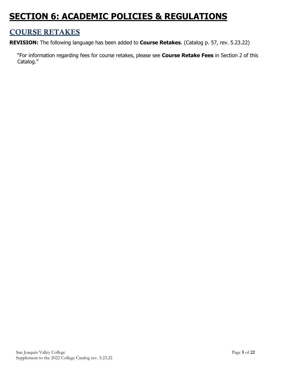## <span id="page-4-0"></span>**SECTION 6: ACADEMIC POLICIES & REGULATIONS**

### <span id="page-4-1"></span>COURSE RETAKES

**REVISION:** The following language has been added to **Course Retakes**. (Catalog p. 57, rev. 5.23.22)

"For information regarding fees for course retakes, please see **Course Retake Fees** in Section 2 of this Catalog."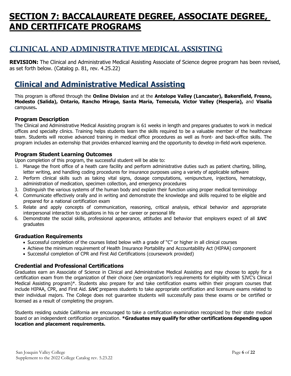## <span id="page-5-0"></span>**SECTION 7: BACCALAUREATE DEGREE, ASSOCIATE DEGREE, AND CERTIFICATE PROGRAMS**

### <span id="page-5-1"></span>CLINICAL AND ADMINISTRATIVE MEDICAL ASSISTING

**REVISION:** The Clinical and Administrative Medical Assisting Associate of Science degree program has been revised, as set forth below. (Catalog p. 81, rev. 4.25.22)

### **Clinical and Administrative Medical Assisting**

This program is offered through the **Online Division** and at the **Antelope Valley (Lancaster), Bakersfield, Fresno, Modesto (Salida), Ontario, Rancho Mirage, Santa Maria, Temecula, Victor Valley (Hesperia),** and **Visalia** campuses**.**

### **Program Description**

The Clinical and Administrative Medical Assisting program is 61 weeks in length and prepares graduates to work in medical offices and specialty clinics. Training helps students learn the skills required to be a valuable member of the healthcare team. Students will receive advanced training in medical office procedures as well as front- and back-office skills. The program includes an externship that provides enhanced learning and the opportunity to develop in-field work experience.

### **Program Student Learning Outcomes**

Upon completion of this program, the successful student will be able to:

- 1. Manage the front office of a heath care facility and perform administrative duties such as patient charting, billing, letter writing, and handling coding procedures for insurance purposes using a variety of applicable software
- 2. Perform clinical skills such as taking vital signs, dosage computations, venipuncture, injections, hematology, administration of medication, specimen collection, and emergency procedures
- 3. Distinguish the various systems of the human body and explain their function using proper medical terminology
- 4. Communicate effectively orally and in writing and demonstrate the knowledge and skills required to be eligible and prepared for a national certification exam
- 5. Relate and apply concepts of communication, reasoning, critical analysis, ethical behavior and appropriate interpersonal interaction to situations in his or her career or personal life
- 6. Demonstrate the social skills, professional appearance, attitudes and behavior that employers expect of all *SJVC*  graduates

### **Graduation Requirements**

- Successful completion of the courses listed below with a grade of "C" or higher in all clinical courses
- Achieve the minimum requirement of Health Insurance Portability and Accountability Act (HIPAA) component
- Successful completion of CPR and First Aid Certifications (coursework provided)

### **Credential and Professional Certifications**

Graduates earn an Associate of Science in Clinical and Administrative Medical Assisting and may choose to apply for a certification exam from the organization of their choice (see organization's requirements for eligibility with SJVC's Clinical Medical Assisting program)\*. Students also prepare for and take certification exams within their program courses that include HIPAA, CPR, and First Aid. *SJVC* prepares students to take appropriate certification and licensure exams related to their individual majors. The College does not guarantee students will successfully pass these exams or be certified or licensed as a result of completing the program.

Students residing outside California are encouraged to take a certification examination recognized by their state medical board or an independent certification organization. **\*Graduates may qualify for other certifications depending upon location and placement requirements.**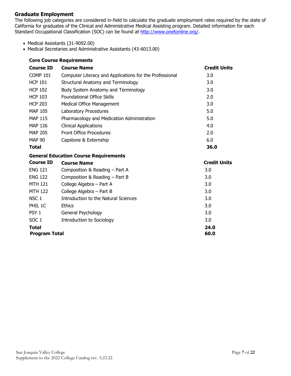### **Graduate Employment**

The following job categories are considered in-field to calculate the graduate employment rates required by the state of California for graduates of the Clinical and Administrative Medical Assisting program. Detailed information for each Standard Occupational Classification (SOC) can be found at [http://www.onetonline.org/.](http://www.onetonline.org/)

- Medical Assistants (31-9092.00)
- Medical Secretaries and Administrative Assistants (43-6013.00)

|                  | <b>Core Course Requirements</b>                         |                     |
|------------------|---------------------------------------------------------|---------------------|
| <b>Course ID</b> | <b>Course Name</b>                                      | <b>Credit Units</b> |
| <b>COMP 101</b>  | Computer Literacy and Applications for the Professional | 3.0                 |
| <b>HCP 101</b>   | Structural Anatomy and Terminology                      | 3.0                 |
| <b>HCP 102</b>   | Body System Anatomy and Terminology                     | 3.0                 |
| <b>HCP 103</b>   | <b>Foundational Office Skills</b>                       | 2.0                 |
| <b>HCP 203</b>   | <b>Medical Office Management</b>                        | 3.0                 |
| <b>MAP 105</b>   | Laboratory Procedures                                   | 5.0                 |
| <b>MAP 115</b>   | Pharmacology and Medication Administration              | 5.0                 |
| <b>MAP 126</b>   | <b>Clinical Applications</b>                            | 4.0                 |
| <b>MAP 205</b>   | <b>Front Office Procedures</b>                          | 2.0                 |
| <b>MAP 90</b>    | Capstone & Externship                                   | 6.0                 |
| <b>Total</b>     |                                                         | 36.0                |
|                  | <b>General Education Course Requirements</b>            |                     |
| <b>Course ID</b> | <b>Course Name</b>                                      | <b>Credit Units</b> |
| <b>ENG 121</b>   | Composition & Reading - Part A                          | 3.0                 |
| <b>ENG 122</b>   | Composition & Reading - Part B                          | 3.0                 |
| <b>MTH 121</b>   | College Algebra - Part A                                | 3.0                 |
| <b>MTH 122</b>   | College Algebra - Part B                                | 3.0                 |
| NSC <sub>1</sub> | <b>Introduction to the Natural Sciences</b>             | 3.0                 |
| PHIL 1C          | <b>Ethics</b>                                           | 3.0                 |
| PSY <sub>1</sub> | General Psychology                                      | 3.0                 |
| SOC <sub>1</sub> | <b>Introduction to Sociology</b>                        | 3.0                 |
| <b>Total</b>     |                                                         | 24.0                |
| Program Total    |                                                         | 60.0                |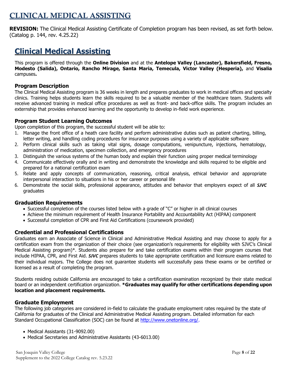### <span id="page-7-0"></span>CLINICAL MEDICAL ASSISTING

**REVISION:** The Clinical Medical Assisting Certificate of Completion program has been revised, as set forth below. (Catalog p. 144, rev. 4.25.22)

### **Clinical Medical Assisting**

This program is offered through the **Online Division** and at the **Antelope Valley (Lancaster), Bakersfield, Fresno, Modesto (Salida), Ontario, Rancho Mirage, Santa Maria, Temecula, Victor Valley (Hesperia),** and **Visalia** campuses**.**

### **Program Description**

The Clinical Medical Assisting program is 36 weeks in length and prepares graduates to work in medical offices and specialty clinics. Training helps students learn the skills required to be a valuable member of the healthcare team. Students will receive advanced training in medical office procedures as well as front- and back-office skills. The program includes an externship that provides enhanced learning and the opportunity to develop in-field work experience.

### **Program Student Learning Outcomes**

Upon completion of this program, the successful student will be able to:

- 1. Manage the front office of a heath care facility and perform administrative duties such as patient charting, billing, letter writing, and handling coding procedures for insurance purposes using a variety of applicable software
- 2. Perform clinical skills such as taking vital signs, dosage computations, venipuncture, injections, hematology, administration of medication, specimen collection, and emergency procedures
- 3. Distinguish the various systems of the human body and explain their function using proper medical terminology
- 4. Communicate effectively orally and in writing and demonstrate the knowledge and skills required to be eligible and prepared for a national certification exam
- 5. Relate and apply concepts of communication, reasoning, critical analysis, ethical behavior and appropriate interpersonal interaction to situations in his or her career or personal life
- 6. Demonstrate the social skills, professional appearance, attitudes and behavior that employers expect of all *SJVC*  graduates

### **Graduation Requirements**

- Successful completion of the courses listed below with a grade of "C" or higher in all clinical courses
- Achieve the minimum requirement of Health Insurance Portability and Accountability Act (HIPAA) component
- Successful completion of CPR and First Aid Certifications (coursework provided)

### **Credential and Professional Certifications**

Graduates earn an Associate of Science in Clinical and Administrative Medical Assisting and may choose to apply for a certification exam from the organization of their choice (see organization's requirements for eligibility with SJVC's Clinical Medical Assisting program)\*. Students also prepare for and take certification exams within their program courses that include HIPAA, CPR, and First Aid. *SJVC* prepares students to take appropriate certification and licensure exams related to their individual majors. The College does not guarantee students will successfully pass these exams or be certified or licensed as a result of completing the program.

Students residing outside California are encouraged to take a certification examination recognized by their state medical board or an independent certification organization. **\*Graduates may qualify for other certifications depending upon location and placement requirements.**

### **Graduate Employment**

The following job categories are considered in-field to calculate the graduate employment rates required by the state of California for graduates of the Clinical and Administrative Medical Assisting program. Detailed information for each Standard Occupational Classification (SOC) can be found at [http://www.onetonline.org/.](http://www.onetonline.org/)

- Medical Assistants (31-9092.00)
- Medical Secretaries and Administrative Assistants (43-6013.00)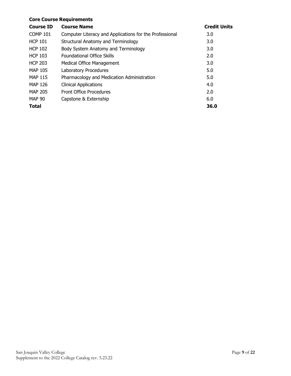### **Core Course Requirements**

| <b>Course ID</b> | <b>Course Name</b>                                      | <b>Credit Units</b> |
|------------------|---------------------------------------------------------|---------------------|
| <b>COMP 101</b>  | Computer Literacy and Applications for the Professional | 3.0                 |
| <b>HCP 101</b>   | Structural Anatomy and Terminology                      | 3.0                 |
| <b>HCP 102</b>   | Body System Anatomy and Terminology                     | 3.0                 |
| <b>HCP 103</b>   | <b>Foundational Office Skills</b>                       | 2.0                 |
| <b>HCP 203</b>   | Medical Office Management                               | 3.0                 |
| <b>MAP 105</b>   | Laboratory Procedures                                   | 5.0                 |
| <b>MAP 115</b>   | Pharmacology and Medication Administration              | 5.0                 |
| <b>MAP 126</b>   | <b>Clinical Applications</b>                            | 4.0                 |
| <b>MAP 205</b>   | <b>Front Office Procedures</b>                          | 2.0                 |
| <b>MAP 90</b>    | Capstone & Externship                                   | 6.0                 |
| <b>Total</b>     |                                                         | 36.0                |
|                  |                                                         |                     |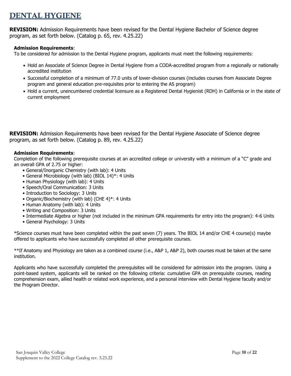### <span id="page-9-0"></span>DENTAL HYGIENE

**REVISION:** Admission Requirements have been revised for the Dental Hygiene Bachelor of Science degree program, as set forth below. (Catalog p. 65, rev. 4.25.22)

### **Admission Requirements**:

To be considered for admission to the Dental Hygiene program, applicants must meet the following requirements:

- Hold an Associate of Science Degree in Dental Hygiene from a CODA-accredited program from a regionally or nationally accredited institution
- Successful completion of a minimum of 77.0 units of lower-division courses (includes courses from Associate Degree program and general education pre-requisites prior to entering the AS program)
- Hold a current, unencumbered credential licensure as a Registered Dental Hygienist (RDH) in California or in the state of current employment

**REVISION:** Admission Requirements have been revised for the Dental Hygiene Associate of Science degree program, as set forth below. (Catalog p. 89, rev. 4.25.22)

### **Admission Requirements**:

Completion of the following prerequisite courses at an accredited college or university with a minimum of a "C" grade and an overall GPA of 2.75 or higher:

- General/Inorganic Chemistry (with lab): 4 Units
- General Microbiology (with lab) (BIOL 14)\*: 4 Units
- Human Physiology (with lab): 4 Units
- Speech/Oral Communication: 3 Units
- Introduction to Sociology: 3 Units
- Organic/Biochemistry (with lab) (CHE 4)\*: 4 Units
- Human Anatomy (with lab): 4 Units
- Writing and Composition: 3 Units
- Intermediate Algebra or higher (not included in the minimum GPA requirements for entry into the program): 4-6 Units
- General Psychology: 3 Units

\*Science courses must have been completed within the past seven (7) years. The BIOL 14 and/or CHE 4 course(s) maybe offered to applicants who have successfully completed all other prerequisite courses.

\*\*If Anatomy and Physiology are taken as a combined course (i.e., A&P 1, A&P 2), both courses must be taken at the same institution.

Applicants who have successfully completed the prerequisites will be considered for admission into the program. Using a point-based system, applicants will be ranked on the following criteria: cumulative GPA on prerequisite courses, reading comprehension exam, allied health or related work experience, and a personal interview with Dental Hygiene faculty and/or the Program Director.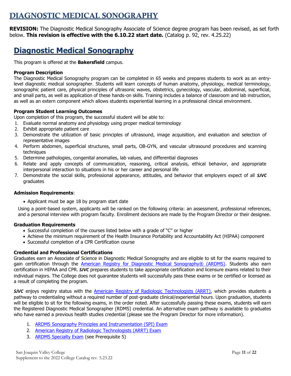### <span id="page-10-0"></span>DIAGNOSTIC MEDICAL SONOGRAPHY

**REVISION:** The Diagnostic Medical Sonography Associate of Science degree program has been revised, as set forth below. **This revision is effective with the 6.10.22 start date.** (Catalog p. 92, rev. 4.25.22)

### **Diagnostic Medical Sonography**

This program is offered at the **Bakersfield** campus.

#### **Program Description**

The Diagnostic Medical Sonography program can be completed in 65 weeks and prepares students to work as an entrylevel diagnostic medical sonographer. Students will learn concepts of human anatomy, physiology, medical terminology, sonographic patient care, physical principles of ultrasonic waves, obstetrics, gynecology, vascular, abdominal, superficial, and small parts, as well as application of these hands-on skills. Training includes a balance of classroom and lab instruction, as well as an extern component which allows students experiential learning in a professional clinical environment.

#### **Program Student Learning Outcomes**

Upon completion of this program, the successful student will be able to:

- 1. Evaluate normal anatomy and physiology using proper medical terminology
- 2. Exhibit appropriate patient care
- 3. Demonstrate the utilization of basic principles of ultrasound, image acquisition, and evaluation and selection of representative images
- 4. Perform abdomen, superficial structures, small parts, OB-GYN, and vascular ultrasound procedures and scanning techniques
- 5. Determine pathologies, congenital anomalies, lab values, and differential diagnoses
- 6. Relate and apply concepts of communication, reasoning, critical analysis, ethical behavior, and appropriate interpersonal interaction to situations in his or her career and personal life
- 7. Demonstrate the social skills, professional appearance, attitudes, and behavior that employers expect of all *SJVC* graduates

#### **Admission Requirements**:

• Applicant must be age 18 by program start date

Using a point-based system, applicants will be ranked on the following criteria: an assessment, professional references, and a personal interview with program faculty. Enrollment decisions are made by the Program Director or their designee.

#### **Graduation Requirements**

- Successful completion of the courses listed below with a grade of "C" or higher
- Achieve the minimum requirement of the Health Insurance Portability and Accountability Act (HIPAA) component
- Successful completion of a CPR Certification course

### **Credential and Professional Certifications**

Graduates earn an Associate of Science in Diagnostic Medical Sonography and are eligible to sit for the exams required to gain certification through the [American Registry for Diagnostic Medical Sonography® \(ARDMS\).](https://www.ardms.org/discover-ardms/about-ardms/) Students also earn certification in HIPAA and CPR. *SJVC* prepares students to take appropriate certification and licensure exams related to their individual majors. The College does not guarantee students will successfully pass these exams or be certified or licensed as a result of completing the program.

**SJVC** enjoys registry status with the [American Registry of Radiologic Technologists \(ARRT\),](https://www.arrt.org/) which provides students a pathway to credentialing without a required number of post-graduate clinical/experiential hours. Upon graduation, students will be eligible to sit for the following exams, in the order noted. After successfully passing these exams, students will earn the Registered Diagnostic Medical Sonographer (RDMS) credential. An alternative exam pathway is available to graduates who have earned a previous health studies credential (please see the Program Director for more information).

- 1. [ARDMS Sonography Principles and Instrumentation \(SPI\) Exam](https://www.ardms.org/get-certified/spi/)
- 2. [American Registry of Radiologic Technologists \(ARRT\) Exam](https://www.arrt.org/pages/earn-arrt-credentials/initial-requirements/exam/examination-requirement)
- 3. [ARDMS Specialty Exam](https://www.ardms.org/wp-content/uploads/pdf/ARDMS-General-Prerequisites.pdf) (see Prerequisite 5)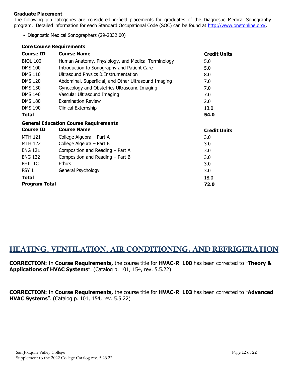#### **Graduate Placement**

The following job categories are considered in-field placements for graduates of the Diagnostic Medical Sonography program. Detailed information for each Standard Occupational Code (SOC) can be found at [http://www.onetonline.org/.](http://www.onetonline.org/)

• Diagnostic Medical Sonographers (29-2032.00)

#### **Core Course Requirements**

| <b>Course ID</b> | <b>Course Name</b>                                   | <b>Credit Units</b> |
|------------------|------------------------------------------------------|---------------------|
| <b>BIOL 100</b>  | Human Anatomy, Physiology, and Medical Terminology   | 5.0                 |
| <b>DMS 100</b>   | Introduction to Sonography and Patient Care          | 5.0                 |
| <b>DMS 110</b>   | Ultrasound Physics & Instrumentation                 | 8.0                 |
| <b>DMS 120</b>   | Abdominal, Superficial, and Other Ultrasound Imaging | 7.0                 |
| <b>DMS 130</b>   | Gynecology and Obstetrics Ultrasound Imaging         | 7.0                 |
| <b>DMS 140</b>   | Vascular Ultrasound Imaging                          | 7.0                 |
| <b>DMS 180</b>   | <b>Examination Review</b>                            | 2.0                 |
| <b>DMS 190</b>   | Clinical Externship                                  | 13.0                |
| Total            |                                                      | 54.0                |
|                  | <b>General Education Course Requirements</b>         |                     |
| <b>Course ID</b> | <b>Course Name</b>                                   | <b>Credit Units</b> |
| <b>MTH 121</b>   | College Algebra - Part A                             | 3.0                 |
| <b>MTH 122</b>   | College Algebra - Part B                             | 3.0                 |
| <b>ENG 121</b>   | Composition and Reading – Part A                     | 3.0                 |
| <b>ENG 122</b>   | Composition and Reading - Part B                     | 3.0                 |
| PHIL 1C          | <b>Ethics</b>                                        | 3.0                 |
| PSY <sub>1</sub> | General Psychology                                   | 3.0                 |
| Total            |                                                      | 18.0                |
| Program Total    |                                                      | 72.0                |

### <span id="page-11-0"></span>HEATING, VENTILATION, AIR CONDITIONING, AND REFRIGERATION

**CORRECTION:** In **Course Requirements,** the course title for **HVAC-R 100** has been corrected to "**Theory & Applications of HVAC Systems**". (Catalog p. 101, 154, rev. 5.5.22)

**CORRECTION:** In **Course Requirements,** the course title for **HVAC-R 103** has been corrected to "**Advanced HVAC Systems**". (Catalog p. 101, 154, rev. 5.5.22)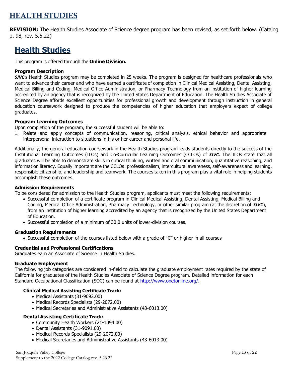### <span id="page-12-0"></span>HEALTH STUDIES

**REVISION:** The Health Studies Associate of Science degree program has been revised, as set forth below. (Catalog p. 98, rev. 5.5.22)

### **Health Studies**

This program is offered through the **Online Division.**

#### **Program Description**

*SJVC*'s Health Studies program may be completed in 25 weeks. The program is designed for healthcare professionals who want to advance their career and who have earned a certificate of completion in Clinical Medical Assisting, Dental Assisting, Medical Billing and Coding, Medical Office Administration, or Pharmacy Technology from an institution of higher learning accredited by an agency that is recognized by the United States Department of Education. The Health Studies Associate of Science Degree affords excellent opportunities for professional growth and development through instruction in general education coursework designed to produce the competencies of higher education that employers expect of college graduates.

### **Program Learning Outcomes**

Upon completion of the program, the successful student will be able to:

1. Relate and apply concepts of communication, reasoning, critical analysis, ethical behavior and appropriate interpersonal interaction to situations in his or her career and personal life.

Additionally, the general education coursework in the Health Studies program leads students directly to the success of the Institutional Learning Outcomes (ILOs) and Co-Curricular Learning Outcomes (CCLOs) of *SJVC*. The ILOs state that all graduates will be able to demonstrate skills in critical thinking, written and oral communication, quantitative reasoning, and information literacy. Equally important are the CCLOs: professionalism, intercultural awareness, self-awareness and learning, responsible citizenship, and leadership and teamwork. The courses taken in this program play a vital role in helping students accomplish these outcomes.

#### **Admission Requirements**

To be considered for admission to the Health Studies program, applicants must meet the following requirements:

- Successful completion of a certificate program in Clinical Medical Assisting, Dental Assisting, Medical Billing and Coding, Medical Office Administration, Pharmacy Technology, or other similar program (at the discretion of *SJVC*), from an institution of higher learning accredited by an agency that is recognized by the United States Department of Education.
- Successful completion of a minimum of 30.0 units of lower-division courses.

#### **Graduation Requirements**

• Successful completion of the courses listed below with a grade of "C" or higher in all courses

### **Credential and Professional Certifications**

Graduates earn an Associate of Science in Health Studies.

#### **Graduate Employment**

The following job categories are considered in-field to calculate the graduate employment rates required by the state of California for graduates of the Health Studies Associate of Science Degree program. Detailed information for each Standard Occupational Classification (SOC) can be found at [http://www.onetonline.org/.](http://www.onetonline.org/)

### **Clinical Medical Assisting Certificate Track:**

- Medical Assistants (31-9092.00)
- Medical Records Specialists (29-2072.00)
- Medical Secretaries and Administrative Assistants (43-6013.00)

### **Dental Assisting Certificate Track:**

- Community Health Workers (21-1094.00)
- Dental Assistants (31-9091.00)
- Medical Records Specialists (29-2072.00)
- Medical Secretaries and Administrative Assistants (43-6013.00)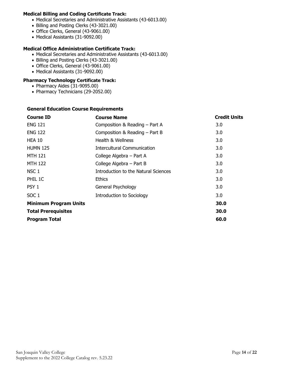### **Medical Billing and Coding Certificate Track:**

- Medical Secretaries and Administrative Assistants (43-6013.00)
- Billing and Posting Clerks (43-3021.00)
- Office Clerks, General (43-9061.00)
- Medical Assistants (31-9092.00)

### **Medical Office Administration Certificate Track:**

- Medical Secretaries and Administrative Assistants (43-6013.00)
- Billing and Posting Clerks (43-3021.00)
- Office Clerks, General (43-9061.00)
- Medical Assistants (31-9092.00)

### **Pharmacy Technology Certificate Track:**

- Pharmacy Aides (31-9095.00)
- Pharmacy Technicians (29-2052.00)

### **General Education Course Requirements**

| <b>Course ID</b>             | <b>Course Name</b>                   | <b>Credit Units</b> |
|------------------------------|--------------------------------------|---------------------|
| <b>ENG 121</b>               | Composition & Reading - Part A       | 3.0                 |
| <b>ENG 122</b>               | Composition & Reading - Part B       | 3.0                 |
| <b>HEA 10</b>                | Health & Wellness                    | 3.0                 |
| <b>HUMN 125</b>              | <b>Intercultural Communication</b>   | 3.0                 |
| <b>MTH 121</b>               | College Algebra - Part A             | 3.0                 |
| <b>MTH 122</b>               | College Algebra - Part B             | 3.0                 |
| NSC 1                        | Introduction to the Natural Sciences | 3.0                 |
| PHIL 1C                      | <b>Ethics</b>                        | 3.0                 |
| PSY <sub>1</sub>             | General Psychology                   | 3.0                 |
| SOC <sub>1</sub>             | <b>Introduction to Sociology</b>     | 3.0                 |
| <b>Minimum Program Units</b> |                                      | 30.0                |
| <b>Total Prerequisites</b>   |                                      | 30.0                |
| <b>Program Total</b>         |                                      | 60.0                |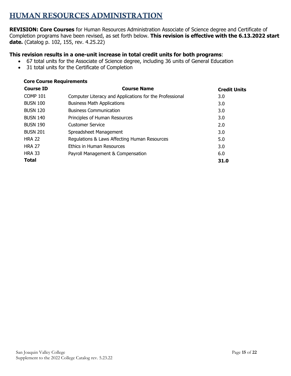### <span id="page-14-0"></span>HUMAN RESOURCES ADMINISTRATION

**REVISION: Core Courses** for Human Resources Administration Associate of Science degree and Certificate of Completion programs have been revised, as set forth below. **This revision is effective with the 6.13.2022 start date.** (Catalog p. 102, 155, rev. 4.25.22)

### **This revision results in a one-unit increase in total credit units for both programs**:

- 67 total units for the Associate of Science degree, including 36 units of General Education
- 31 total units for the Certificate of Completion

### **Core Course Requirements**

| <b>Course ID</b> | <b>Course Name</b>                                      | <b>Credit Units</b> |
|------------------|---------------------------------------------------------|---------------------|
| <b>COMP 101</b>  | Computer Literacy and Applications for the Professional | 3.0                 |
| <b>BUSN 100</b>  | <b>Business Math Applications</b>                       | 3.0                 |
| <b>BUSN 120</b>  | <b>Business Communication</b>                           | 3.0                 |
| <b>BUSN 140</b>  | Principles of Human Resources                           | 3.0                 |
| <b>BUSN 190</b>  | Customer Service                                        | 2.0                 |
| <b>BUSN 201</b>  | Spreadsheet Management                                  | 3.0                 |
| <b>HRA 22</b>    | Regulations & Laws Affecting Human Resources            | 5.0                 |
| <b>HRA 27</b>    | Ethics in Human Resources                               | 3.0                 |
| <b>HRA 33</b>    | Payroll Management & Compensation                       | 6.0                 |
| <b>Total</b>     |                                                         | 31.0                |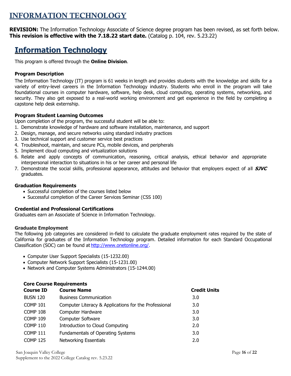### <span id="page-15-0"></span>INFORMATION TECHNOLOGY

**REVISION:** The Information Technology Associate of Science degree program has been revised, as set forth below. **This revision is effective with the 7.18.22 start date.** (Catalog p. 104, rev. 5.23.22)

### **Information Technology**

This program is offered through the **Online Division**.

### **Program Description**

The Information Technology (IT) program is 61 weeks in length and provides students with the knowledge and skills for a variety of entry-level careers in the Information Technology industry. Students who enroll in the program will take foundational courses in computer hardware, software, help desk, cloud computing, operating systems, networking, and security. They also get exposed to a real-world working environment and get experience in the field by completing a capstone help desk externship.

### **Program Student Learning Outcomes**

Upon completion of the program, the successful student will be able to:

- 1. Demonstrate knowledge of hardware and software installation, maintenance, and support
- 2. Design, manage, and secure networks using standard industry practices
- 3. Use technical support and customer service best practices
- 4. Troubleshoot, maintain, and secure PCs, mobile devices, and peripherals
- 5. Implement cloud computing and virtualization solutions
- 6. Relate and apply concepts of communication, reasoning, critical analysis, ethical behavior and appropriate interpersonal interaction to situations in his or her career and personal life
- 7. Demonstrate the social skills, professional appearance, attitudes and behavior that employers expect of all **SJVC**  graduates.

#### **Graduation Requirements**

- Successful completion of the courses listed below
- Successful completion of the Career Services Seminar (CSS 100)

### **Credential and Professional Certifications**

**Core Course Requirements**

Graduates earn an Associate of Science in Information Technology.

#### **Graduate Employment**

The following job categories are considered in-field to calculate the graduate employment rates required by the state of California for graduates of the Information Technology program. Detailed information for each Standard Occupational Classification (SOC) can be found at [http://www.onetonline.org/.](http://www.onetonline.org/)

- Computer User Support Specialists (15-1232.00)
- Computer Network Support Specialists (15-1231.00)
- Network and Computer Systems Administrators (15-1244.00)

| Core course Requirements |                                                       |                     |  |  |  |
|--------------------------|-------------------------------------------------------|---------------------|--|--|--|
| <b>Course ID</b>         | <b>Course Name</b>                                    | <b>Credit Units</b> |  |  |  |
| <b>BUSN 120</b>          | <b>Business Communication</b>                         | 3.0                 |  |  |  |
| <b>COMP 101</b>          | Computer Literacy & Applications for the Professional | 3.0                 |  |  |  |
| <b>COMP 108</b>          | <b>Computer Hardware</b>                              | 3.0                 |  |  |  |
| <b>COMP 109</b>          | <b>Computer Software</b>                              | 3.0                 |  |  |  |
| <b>COMP 110</b>          | Introduction to Cloud Computing                       | 2.0                 |  |  |  |
| <b>COMP 111</b>          | Fundamentals of Operating Systems                     | 3.0                 |  |  |  |
| <b>COMP 125</b>          | <b>Networking Essentials</b>                          | 2.0                 |  |  |  |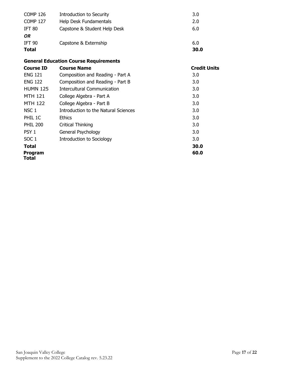| <b>COMP 126</b>  | Introduction to Security                     | 3.0                 |
|------------------|----------------------------------------------|---------------------|
| <b>COMP 127</b>  | Help Desk Fundamentals                       | 2.0                 |
| <b>IFT 80</b>    | Capstone & Student Help Desk                 | 6.0                 |
| OR               |                                              |                     |
| <b>IFT 90</b>    | Capstone & Externship                        | 6.0                 |
| <b>Total</b>     |                                              | 30.0                |
|                  | <b>General Education Course Requirements</b> |                     |
| <b>Course ID</b> | <b>Course Name</b>                           | <b>Credit Units</b> |
| <b>ENG 121</b>   | Composition and Reading - Part A             | 3.0                 |
| <b>ENG 122</b>   | Composition and Reading - Part B             | 3.0                 |
| <b>HUMN 125</b>  | <b>Intercultural Communication</b>           | 3.0                 |
| <b>MTH 121</b>   | College Algebra - Part A                     | 3.0                 |
| <b>MTH 122</b>   | College Algebra - Part B                     | 3.0                 |
| NSC <sub>1</sub> | Introduction to the Natural Sciences         | 3.0                 |
| PHIL 1C          | <b>Ethics</b>                                | 3.0                 |
| <b>PHIL 200</b>  | Critical Thinking                            | 3.0                 |
| PSY <sub>1</sub> | General Psychology                           | 3.0                 |
| SOC <sub>1</sub> | <b>Introduction to Sociology</b>             | 3.0                 |
| Total            |                                              | 30.0                |
| Program          |                                              | 60.0                |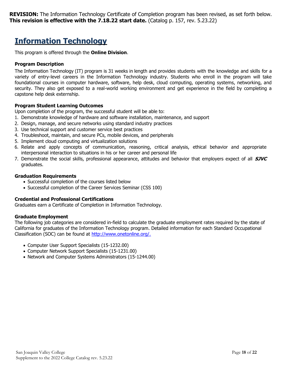**REVISION:** The Information Technology Certificate of Completion program has been revised, as set forth below. **This revision is effective with the 7.18.22 start date.** (Catalog p. 157, rev. 5.23.22)

### **Information Technology**

This program is offered through the **Online Division**.

### **Program Description**

The Information Technology (IT) program is 31 weeks in length and provides students with the knowledge and skills for a variety of entry-level careers in the Information Technology industry. Students who enroll in the program will take foundational courses in computer hardware, software, help desk, cloud computing, operating systems, networking, and security. They also get exposed to a real-world working environment and get experience in the field by completing a capstone help desk externship.

### **Program Student Learning Outcomes**

Upon completion of the program, the successful student will be able to:

- 1. Demonstrate knowledge of hardware and software installation, maintenance, and support
- 2. Design, manage, and secure networks using standard industry practices
- 3. Use technical support and customer service best practices
- 4. Troubleshoot, maintain, and secure PCs, mobile devices, and peripherals
- 5. Implement cloud computing and virtualization solutions
- 6. Relate and apply concepts of communication, reasoning, critical analysis, ethical behavior and appropriate interpersonal interaction to situations in his or her career and personal life
- 7. Demonstrate the social skills, professional appearance, attitudes and behavior that employers expect of all **SJVC**  graduates.

### **Graduation Requirements**

- Successful completion of the courses listed below
- Successful completion of the Career Services Seminar (CSS 100)

### **Credential and Professional Certifications**

Graduates earn a Certificate of Completion in Information Technology.

### **Graduate Employment**

The following job categories are considered in-field to calculate the graduate employment rates required by the state of California for graduates of the Information Technology program. Detailed information for each Standard Occupational Classification (SOC) can be found at [http://www.onetonline.org/.](http://www.onetonline.org/)

- Computer User Support Specialists (15-1232.00)
- Computer Network Support Specialists (15-1231.00)
- Network and Computer Systems Administrators (15-1244.00)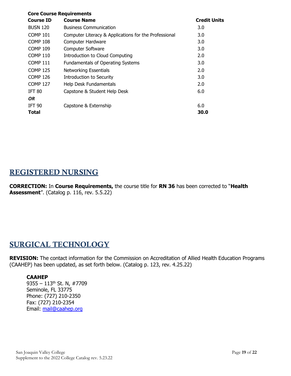| <b>Core Course Requirements</b> |                                                       |                     |  |  |
|---------------------------------|-------------------------------------------------------|---------------------|--|--|
| <b>Course ID</b>                | <b>Course Name</b>                                    | <b>Credit Units</b> |  |  |
| <b>BUSN 120</b>                 | <b>Business Communication</b>                         | 3.0                 |  |  |
| <b>COMP 101</b>                 | Computer Literacy & Applications for the Professional | 3.0                 |  |  |
| <b>COMP 108</b>                 | <b>Computer Hardware</b>                              | 3.0                 |  |  |
| <b>COMP 109</b>                 | <b>Computer Software</b>                              | 3.0                 |  |  |
| <b>COMP 110</b>                 | Introduction to Cloud Computing                       | 2.0                 |  |  |
| <b>COMP 111</b>                 | <b>Fundamentals of Operating Systems</b>              | 3.0                 |  |  |
| <b>COMP 125</b>                 | <b>Networking Essentials</b>                          | 2.0                 |  |  |
| <b>COMP 126</b>                 | Introduction to Security                              | 3.0                 |  |  |
| <b>COMP 127</b>                 | Help Desk Fundamentals                                | 2.0                 |  |  |
| <b>IFT 80</b>                   | Capstone & Student Help Desk                          | 6.0                 |  |  |
| OR.                             |                                                       |                     |  |  |
| <b>IFT 90</b>                   | Capstone & Externship                                 | 6.0                 |  |  |
| Total                           |                                                       | 30.0                |  |  |

### <span id="page-18-0"></span>REGISTERED NURSING

**CORRECTION:** In **Course Requirements,** the course title for **RN 36** has been corrected to "**Health Assessment**". (Catalog p. 116, rev. 5.5.22)

### <span id="page-18-1"></span>SURGICAL TECHNOLOGY

**REVISION:** The contact information for the Commission on Accreditation of Allied Health Education Programs (CAAHEP) has been updated, as set forth below. (Catalog p. 123, rev. 4.25.22)

### **CAAHEP**

9355 – 113th St. N, #7709 Seminole, FL 33775 Phone: (727) 210-2350 Fax: (727) 210-2354 Email: [mail@caahep.org](mailto:mail@caahep.org)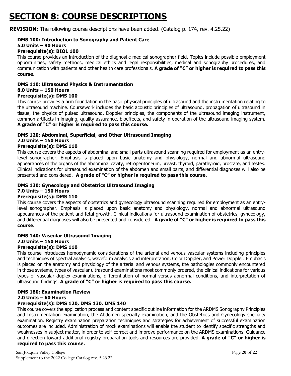## <span id="page-19-0"></span>**SECTION 8: COURSE DESCRIPTIONS**

**REVISION:** The following course descriptions have been added. (Catalog p. 174, rev. 4.25.22)

#### **DMS 100: Introduction to Sonography and Patient Care 5.0 Units – 90 Hours**

### **Prerequisite(s): BIOL 100**

This course provides an introduction of the diagnostic medical sonographer field. Topics include possible employment opportunities, safety methods, medical ethics and legal responsibilities, medical and sonography procedures, and communication with patients and other health care professionals. **A grade of "C" or higher is required to pass this course.** 

#### **DMS 110: Ultrasound Physics & Instrumentation 8.0 Units – 150 Hours**

### **Prerequisite(s): DMS 100**

This course provides a firm foundation in the basic physical principles of ultrasound and the instrumentation relating to the ultrasound machine. Coursework includes the basic acoustic principles of ultrasound, propagation of ultrasound in tissue, the physics of pulsed ultrasound, Doppler principles, the components of the ultrasound imaging instrument, common artifacts in imaging, quality assurance, bioeffects, and safety in operation of the ultrasound imaging system. **A grade of "C" or higher is required to pass this course.**

### **DMS 120: Abdominal, Superficial, and Other Ultrasound Imaging 7.0 Units – 150 Hours**

### **Prerequisite(s): DMS 110**

This course covers the aspects of abdominal and small parts ultrasound scanning required for employment as an entrylevel sonographer. Emphasis is placed upon basic anatomy and physiology, normal and abnormal ultrasound appearances of the organs of the abdominal cavity, retroperitoneum, breast, thyroid, parathyroid, prostate, and testes. Clinical indications for ultrasound examination of the abdomen and small parts, and differential diagnoses will also be presented and considered. **A grade of "C" or higher is required to pass this course.**

#### **DMS 130: Gynecology and Obstetrics Ultrasound Imaging 7.0 Units – 150 Hours Prerequisite(s): DMS 110**

This course covers the aspects of obstetrics and gynecology ultrasound scanning required for employment as an entrylevel sonographer. Emphasis is placed upon basic anatomy and physiology, normal and abnormal ultrasound appearances of the patient and fetal growth. Clinical indications for ultrasound examination of obstetrics, gynecology, and differential diagnoses will also be presented and considered. **A grade of "C" or higher is required to pass this course.**

#### **DMS 140: Vascular Ultrasound Imaging 7.0 Units – 150 Hours Prerequisite(s): DMS 110**

This course introduces hemodynamic considerations of the arterial and venous vascular systems including principles and techniques of spectral analysis, waveform analysis and interpretation, Color Doppler, and Power Doppler. Emphasis is placed on the anatomy and physiology of the arterial and venous systems, the pathologies commonly encountered in those systems, types of vascular ultrasound examinations most commonly ordered, the clinical indications for various types of vascular duplex examinations, differentiation of normal versus abnormal conditions, and interpretation of ultrasound findings. **A grade of "C" or higher is required to pass this course.**

#### **DMS 180: Examination Review 2.0 Units – 60 Hours Prerequisite(s): DMS 120, DMS 130, DMS 140**

This course covers the application process and content specific outline information for the ARDMS Sonography Principles and Instrumentation examination, the Abdomen specialty examination, and the Obstetrics and Gynecology specialty examination. Registry examination preparation techniques and strategies for achievement of successful examination outcomes are included. Administration of mock examinations will enable the student to identify specific strengths and weaknesses in subject matter, in order to self-correct and improve performance on the ARDMS examinations. Guidance and direction toward additional registry preparation tools and resources are provided. **A grade of "C" or higher is required to pass this course.**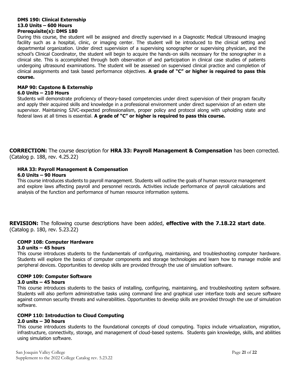#### **DMS 190: Clinical Externship 13.0 Units – 600 Hours Prerequisite(s): DMS 180**

During this course, the student will be assigned and directly supervised in a Diagnostic Medical Ultrasound imaging facility such as a hospital, clinic, or imaging center. The student will be introduced to the clinical setting and departmental organization. Under direct supervision of a supervising sonographer or supervising physician, and the school's Clinical Coordinator, the student will begin to acquire the hands-on skills necessary for the sonographer in a clinical site. This is accomplished through both observation of and participation in clinical case studies of patients undergoing ultrasound examinations. The student will be assessed on supervised clinical practice and completion of clinical assignments and task based performance objectives. **A grade of "C" or higher is required to pass this course.**

### **MAP 90: Capstone & Externship**

#### **6.0 Units – 210 Hours**

Students will demonstrate proficiency of theory-based competencies under direct supervision of their program faculty and apply their acquired skills and knowledge in a professional environment under direct supervision of an extern site supervisor. Maintaining SJVC-expected professionalism, proper policy and protocol along with upholding state and federal laws at all times is essential. **A grade of "C" or higher is required to pass this course.**

**CORRECTION:** The course description for **HRA 33: Payroll Management & Compensation** has been corrected. (Catalog p. 188, rev. 4.25.22)

### **HRA 33: Payroll Management & Compensation**

### **6.0 Units – 90 Hours**

This course introduces students to payroll management. Students will outline the goals of human resource management and explore laws affecting payroll and personnel records. Activities include performance of payroll calculations and analysis of the function and performance of human resource information systems.

**REVISION:** The following course descriptions have been added, **effective with the 7.18.22 start date**. (Catalog p. 180, rev. 5.23.22)

### **COMP 108: Computer Hardware**

### **3.0 units – 45 hours**

This course introduces students to the fundamentals of configuring, maintaining, and troubleshooting computer hardware. Students will explore the basics of computer components and storage technologies and learn how to manage mobile and peripheral devices. Opportunities to develop skills are provided through the use of simulation software.

### **COMP 109: Computer Software**

### **3.0 units – 45 hours**

This course introduces students to the basics of installing, configuring, maintaining, and troubleshooting system software. Students will also perform administrative tasks using command line and graphical user interface tools and secure software against common security threats and vulnerabilities. Opportunities to develop skills are provided through the use of simulation software.

### **COMP 110: Introduction to Cloud Computing**

### **2.0 units – 30 hours**

This course introduces students to the foundational concepts of cloud computing. Topics include virtualization, migration, infrastructure, connectivity, storage, and management of cloud-based systems. Students gain knowledge, skills, and abilities using simulation software.